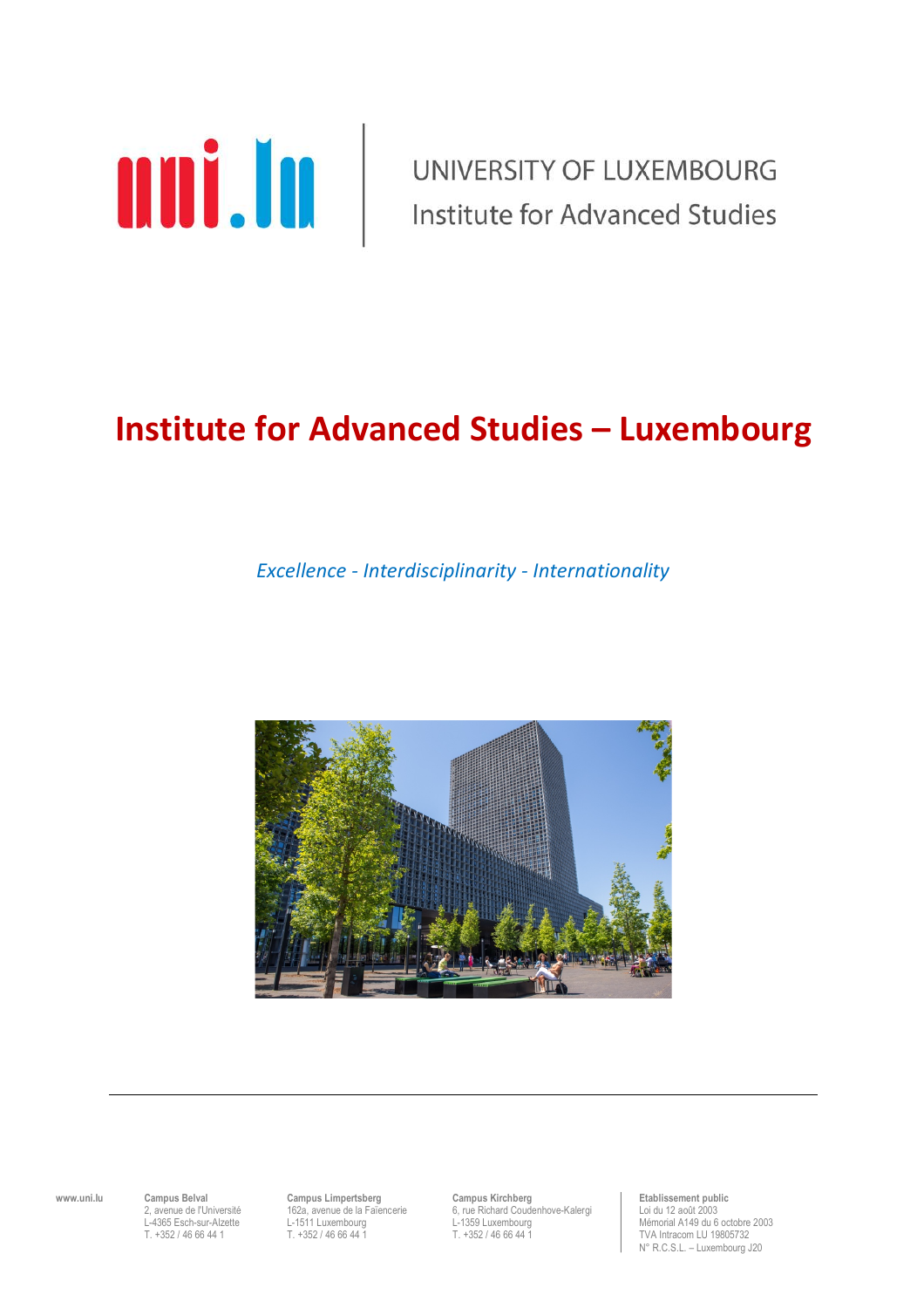

UNIVERSITY OF LUXEMBOURG **Institute for Advanced Studies** 

# **Institute for Advanced Studies – Luxembourg**

*Excellence - Interdisciplinarity - Internationality*



**www.uni.lu Campus Belval Campus Limpertsberg Campus Kirchberg Campus Kirchberg Etablissement public**<br>2, avenue de l'Université 162a, avenue de la Faïencerie 6, rue Richard Coudenhove-Kalergi Loi du 12 août 2003<br> 2, avenue de la Faïencerie a G, rue Richard Coudenhove-Kalergi Loi du 12 août 2003<br>2003 L-1511 Luxembourg L-1559 Luxembourg L-1951 Mémorial A149 du 6 L-4365 Esch-sur-Alzette L-1511 Luxembourg L-1359 Luxembourg Mémorial A149 du 6 octobre 2003

TVA Intracom LU 19805732 N° R.C.S.L. – Luxembourg J20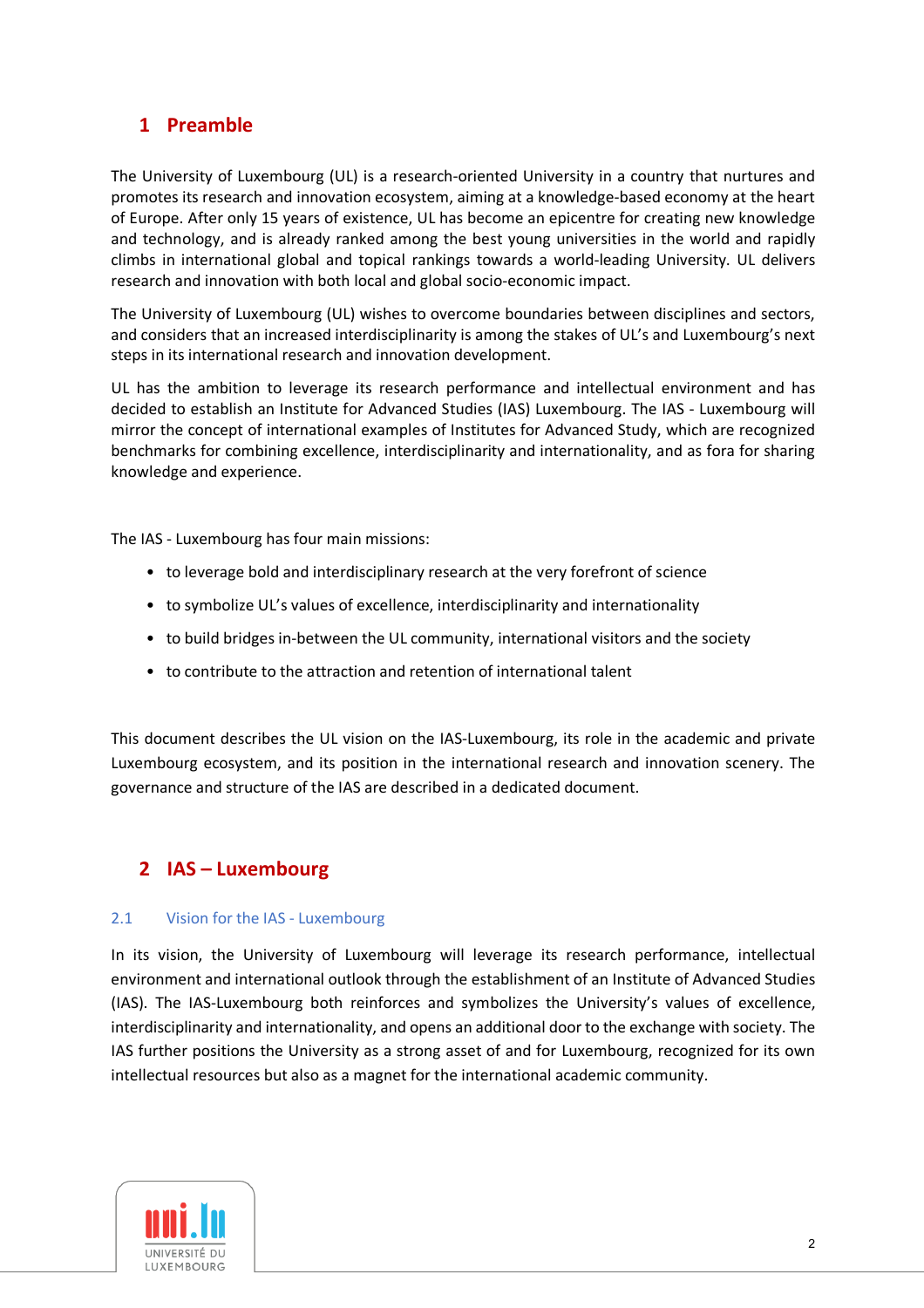# **1 Preamble**

The University of Luxembourg (UL) is a research-oriented University in a country that nurtures and promotes its research and innovation ecosystem, aiming at a knowledge-based economy at the heart of Europe. After only 15 years of existence, UL has become an epicentre for creating new knowledge and technology, and is already ranked among the best young universities in the world and rapidly climbs in international global and topical rankings towards a world-leading University. UL delivers research and innovation with both local and global socio-economic impact.

The University of Luxembourg (UL) wishes to overcome boundaries between disciplines and sectors, and considers that an increased interdisciplinarity is among the stakes of UL's and Luxembourg's next steps in its international research and innovation development.

UL has the ambition to leverage its research performance and intellectual environment and has decided to establish an Institute for Advanced Studies (IAS) Luxembourg. The IAS - Luxembourg will mirror the concept of international examples of Institutes for Advanced Study, which are recognized benchmarks for combining excellence, interdisciplinarity and internationality, and as fora for sharing knowledge and experience.

The IAS - Luxembourg has four main missions:

- to leverage bold and interdisciplinary research at the very forefront of science
- to symbolize UL's values of excellence, interdisciplinarity and internationality
- to build bridges in-between the UL community, international visitors and the society
- to contribute to the attraction and retention of international talent

This document describes the UL vision on the IAS-Luxembourg, its role in the academic and private Luxembourg ecosystem, and its position in the international research and innovation scenery. The governance and structure of the IAS are described in a dedicated document.

# **2 IAS – Luxembourg**

## 2.1 Vision for the IAS - Luxembourg

In its vision, the University of Luxembourg will leverage its research performance, intellectual environment and international outlook through the establishment of an Institute of Advanced Studies (IAS). The IAS-Luxembourg both reinforces and symbolizes the University's values of excellence, interdisciplinarity and internationality, and opens an additional door to the exchange with society. The IAS further positions the University as a strong asset of and for Luxembourg, recognized for its own intellectual resources but also as a magnet for the international academic community.

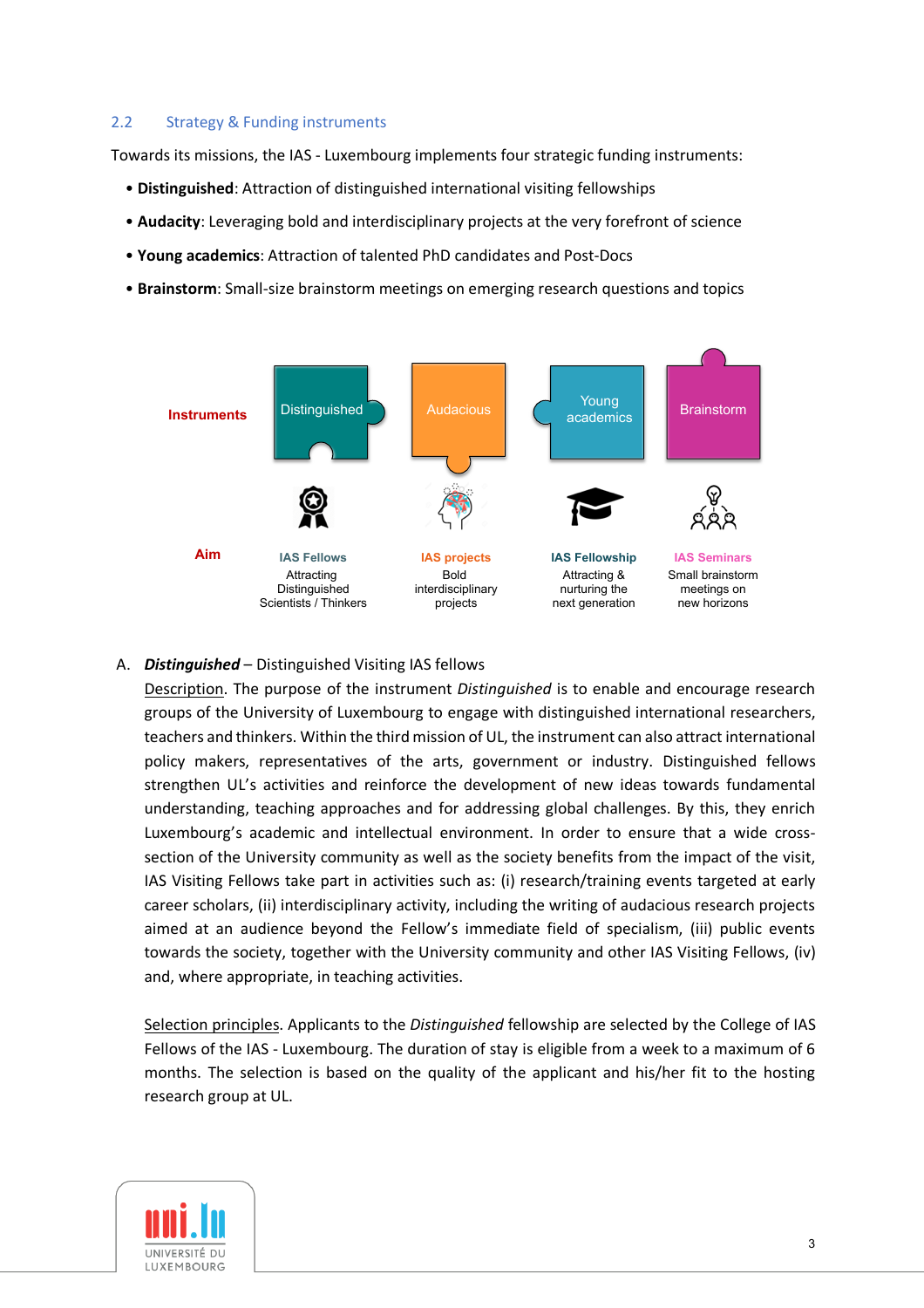#### 2.2 Strategy & Funding instruments

Towards its missions, the IAS - Luxembourg implements four strategic funding instruments:

- **Distinguished**: Attraction of distinguished international visiting fellowships
- **Audacity**: Leveraging bold and interdisciplinary projects at the very forefront of science
- **Young academics**: Attraction of talented PhD candidates and Post-Docs
- **Brainstorm**: Small-size brainstorm meetings on emerging research questions and topics



# A. *Distinguished* – Distinguished Visiting IAS fellows

Description. The purpose of the instrument *Distinguished* is to enable and encourage research groups of the University of Luxembourg to engage with distinguished international researchers, teachers and thinkers. Within the third mission of UL, the instrument can also attract international policy makers, representatives of the arts, government or industry. Distinguished fellows strengthen UL's activities and reinforce the development of new ideas towards fundamental understanding, teaching approaches and for addressing global challenges. By this, they enrich Luxembourg's academic and intellectual environment. In order to ensure that a wide crosssection of the University community as well as the society benefits from the impact of the visit, IAS Visiting Fellows take part in activities such as: (i) research/training events targeted at early career scholars, (ii) interdisciplinary activity, including the writing of audacious research projects aimed at an audience beyond the Fellow's immediate field of specialism, (iii) public events towards the society, together with the University community and other IAS Visiting Fellows, (iv) and, where appropriate, in teaching activities.

Selection principles. Applicants to the *Distinguished* fellowship are selected by the College of IAS Fellows of the IAS - Luxembourg. The duration of stay is eligible from a week to a maximum of 6 months. The selection is based on the quality of the applicant and his/her fit to the hosting research group at UL.

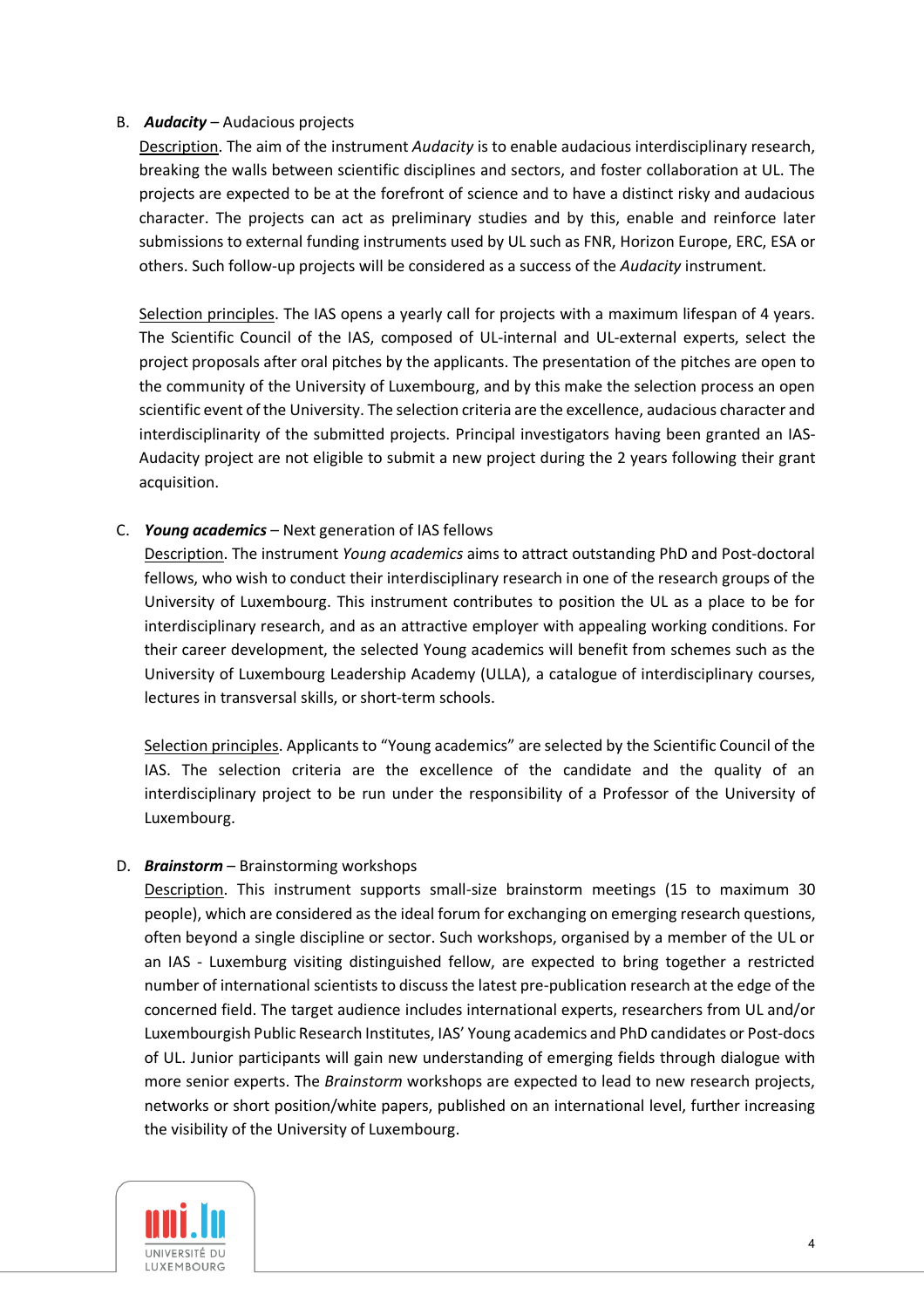## B. *Audacity* – Audacious projects

Description. The aim of the instrument *Audacity* is to enable audacious interdisciplinary research, breaking the walls between scientific disciplines and sectors, and foster collaboration at UL. The projects are expected to be at the forefront of science and to have a distinct risky and audacious character. The projects can act as preliminary studies and by this, enable and reinforce later submissions to external funding instruments used by UL such as FNR, Horizon Europe, ERC, ESA or others. Such follow-up projects will be considered as a success of the *Audacity* instrument.

Selection principles. The IAS opens a yearly call for projects with a maximum lifespan of 4 years. The Scientific Council of the IAS, composed of UL-internal and UL-external experts, select the project proposals after oral pitches by the applicants. The presentation of the pitches are open to the community of the University of Luxembourg, and by this make the selection process an open scientific event of the University. The selection criteria are the excellence, audacious character and interdisciplinarity of the submitted projects. Principal investigators having been granted an IAS-Audacity project are not eligible to submit a new project during the 2 years following their grant acquisition.

## C. *Young academics* – Next generation of IAS fellows

Description. The instrument *Young academics* aims to attract outstanding PhD and Post-doctoral fellows, who wish to conduct their interdisciplinary research in one of the research groups of the University of Luxembourg. This instrument contributes to position the UL as a place to be for interdisciplinary research, and as an attractive employer with appealing working conditions. For their career development, the selected Young academics will benefit from schemes such as the University of Luxembourg Leadership Academy (ULLA), a catalogue of interdisciplinary courses, lectures in transversal skills, or short-term schools.

Selection principles. Applicants to "Young academics" are selected by the Scientific Council of the IAS. The selection criteria are the excellence of the candidate and the quality of an interdisciplinary project to be run under the responsibility of a Professor of the University of Luxembourg.

#### D. *Brainstorm* – Brainstorming workshops

Description. This instrument supports small-size brainstorm meetings (15 to maximum 30 people), which are considered as the ideal forum for exchanging on emerging research questions, often beyond a single discipline or sector. Such workshops, organised by a member of the UL or an IAS - Luxemburg visiting distinguished fellow, are expected to bring together a restricted number of international scientists to discuss the latest pre-publication research at the edge of the concerned field. The target audience includes international experts, researchers from UL and/or Luxembourgish Public Research Institutes, IAS' Young academics and PhD candidates or Post-docs of UL. Junior participants will gain new understanding of emerging fields through dialogue with more senior experts. The *Brainstorm* workshops are expected to lead to new research projects, networks or short position/white papers, published on an international level, further increasing the visibility of the University of Luxembourg.